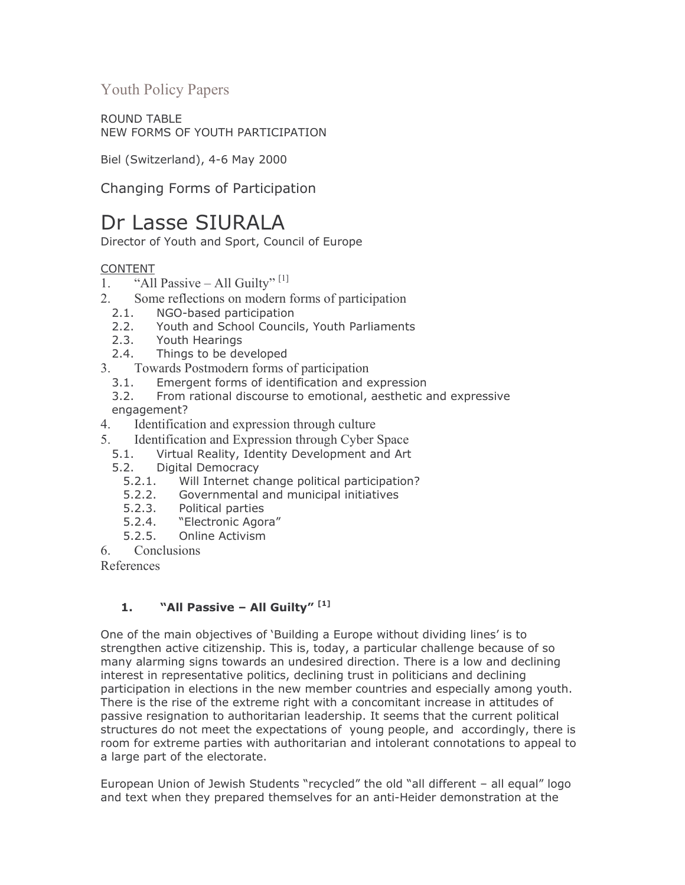**Youth Policy Papers** 

**ROUND TABLE** NEW FORMS OF YOUTH PARTICIPATION

Biel (Switzerland), 4-6 May 2000

Changing Forms of Participation

# Dr Lasse SIURALA

Director of Youth and Sport, Council of Europe

# **CONTENT**

- "All Passive All Guilty"<sup>[1]</sup>  $1.$
- Some reflections on modern forms of participation  $2^{\circ}$ 
	- $2.1.$ NGO-based participation
	- Youth and School Councils, Youth Parliaments  $2.2.$
	- $2.3.$ Youth Hearings
	- Things to be developed  $2.4.$
- 3. Towards Postmodern forms of participation
	- $3.1.$ Emergent forms of identification and expression
	- From rational discourse to emotional, aesthetic and expressive  $3.2.$ engagement?
- Identification and expression through culture 4.
- $5<sup>5</sup>$ Identification and Expression through Cyber Space
	- $5.1.$ Virtual Reality, Identity Development and Art
	- $5.2.$ **Digital Democracy** 
		- $5.2.1.$ Will Internet change political participation?
		- $5.2.2.$ Governmental and municipal initiatives
		- $5.2.3.$ Political parties
		- "Electronic Agora"  $5.2.4.$
		- $5.2.5.$ Online Activism
- Conclusions 6

References

### "All Passive - All Guilty"<sup>[1]</sup>  $1.$

One of the main objectives of 'Building a Europe without dividing lines' is to strengthen active citizenship. This is, today, a particular challenge because of so many alarming signs towards an undesired direction. There is a low and declining interest in representative politics, declining trust in politicians and declining participation in elections in the new member countries and especially among youth. There is the rise of the extreme right with a concomitant increase in attitudes of passive resignation to authoritarian leadership. It seems that the current political structures do not meet the expectations of young people, and accordingly, there is room for extreme parties with authoritarian and intolerant connotations to appeal to a large part of the electorate.

European Union of Jewish Students "recycled" the old "all different - all equal" logo and text when they prepared themselves for an anti-Heider demonstration at the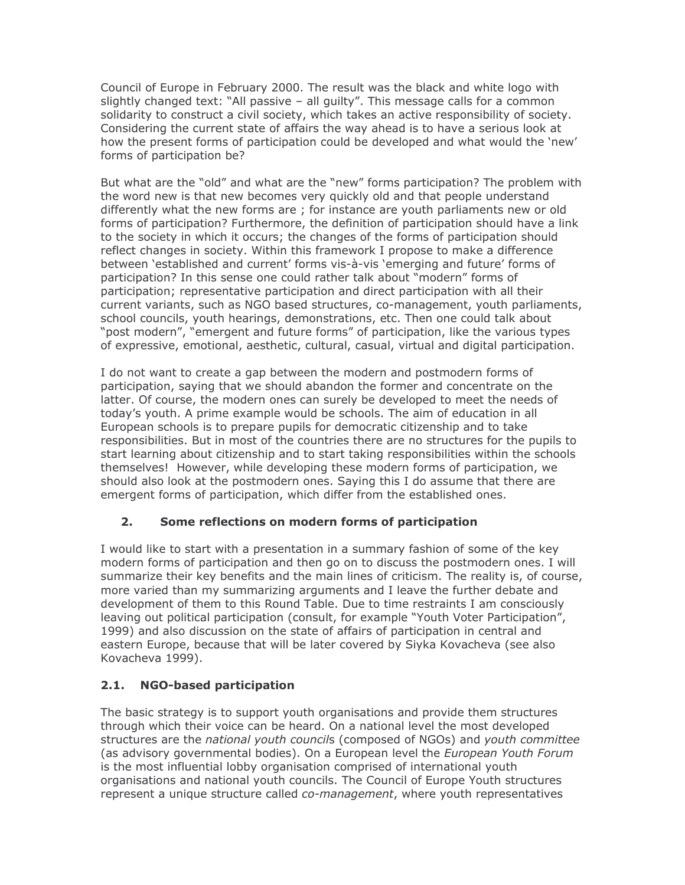Council of Europe in February 2000. The result was the black and white logo with slightly changed text: "All passive - all guilty". This message calls for a common solidarity to construct a civil society, which takes an active responsibility of society. Considering the current state of affairs the way ahead is to have a serious look at how the present forms of participation could be developed and what would the 'new' forms of participation be?

But what are the "old" and what are the "new" forms participation? The problem with the word new is that new becomes very quickly old and that people understand differently what the new forms are; for instance are youth parliaments new or old forms of participation? Furthermore, the definition of participation should have a link to the society in which it occurs; the changes of the forms of participation should reflect changes in society. Within this framework I propose to make a difference between 'established and current' forms vis-à-vis 'emerging and future' forms of participation? In this sense one could rather talk about "modern" forms of participation; representative participation and direct participation with all their current variants, such as NGO based structures, co-management, youth parliaments, school councils, youth hearings, demonstrations, etc. Then one could talk about "post modern", "emergent and future forms" of participation, like the various types of expressive, emotional, aesthetic, cultural, casual, virtual and digital participation.

I do not want to create a gap between the modern and postmodern forms of participation, saying that we should abandon the former and concentrate on the latter. Of course, the modern ones can surely be developed to meet the needs of today's youth. A prime example would be schools. The aim of education in all European schools is to prepare pupils for democratic citizenship and to take responsibilities. But in most of the countries there are no structures for the pupils to start learning about citizenship and to start taking responsibilities within the schools themselves! However, while developing these modern forms of participation, we should also look at the postmodern ones. Saying this I do assume that there are emergent forms of participation, which differ from the established ones.

### $2.$ Some reflections on modern forms of participation

I would like to start with a presentation in a summary fashion of some of the key modern forms of participation and then go on to discuss the postmodern ones. I will summarize their key benefits and the main lines of criticism. The reality is, of course, more varied than my summarizing arguments and I leave the further debate and development of them to this Round Table. Due to time restraints I am consciously leaving out political participation (consult, for example "Youth Voter Participation", 1999) and also discussion on the state of affairs of participation in central and eastern Europe, because that will be later covered by Siyka Kovacheva (see also Kovacheva 1999).

### $2.1.$ **NGO-based participation**

The basic strategy is to support youth organisations and provide them structures through which their voice can be heard. On a national level the most developed structures are the national youth councils (composed of NGOs) and youth committee (as advisory governmental bodies). On a European level the European Youth Forum is the most influential lobby organisation comprised of international youth organisations and national youth councils. The Council of Europe Youth structures represent a unique structure called co-management, where youth representatives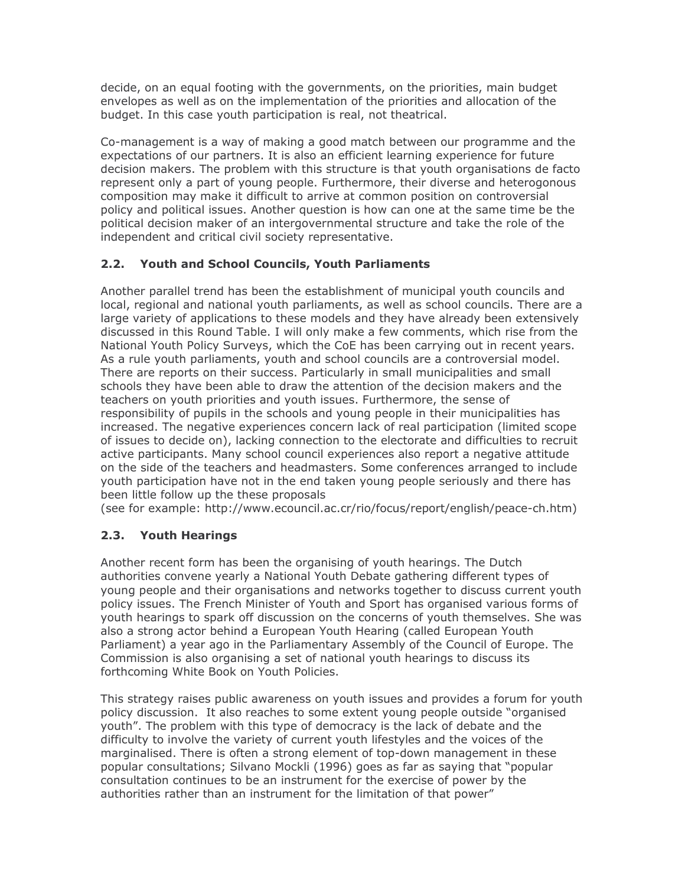decide, on an equal footing with the governments, on the priorities, main budget envelopes as well as on the implementation of the priorities and allocation of the budget. In this case youth participation is real, not theatrical.

Co-management is a way of making a good match between our programme and the expectations of our partners. It is also an efficient learning experience for future decision makers. The problem with this structure is that youth organisations de facto represent only a part of young people. Furthermore, their diverse and heterogonous composition may make it difficult to arrive at common position on controversial policy and political issues. Another question is how can one at the same time be the political decision maker of an intergovernmental structure and take the role of the independent and critical civil society representative.

# 2.2. Youth and School Councils, Youth Parliaments

Another parallel trend has been the establishment of municipal youth councils and local, regional and national youth parliaments, as well as school councils. There are a large variety of applications to these models and they have already been extensively discussed in this Round Table. I will only make a few comments, which rise from the National Youth Policy Surveys, which the CoE has been carrying out in recent years. As a rule youth parliaments, youth and school councils are a controversial model. There are reports on their success. Particularly in small municipalities and small schools they have been able to draw the attention of the decision makers and the teachers on youth priorities and youth issues. Furthermore, the sense of responsibility of pupils in the schools and young people in their municipalities has increased. The negative experiences concern lack of real participation (limited scope of issues to decide on), lacking connection to the electorate and difficulties to recruit active participants. Many school council experiences also report a negative attitude on the side of the teachers and headmasters. Some conferences arranged to include youth participation have not in the end taken young people seriously and there has been little follow up the these proposals

(see for example: http://www.ecouncil.ac.cr/rio/focus/report/english/peace-ch.htm)

# 2.3. Youth Hearings

Another recent form has been the organising of youth hearings. The Dutch authorities convene yearly a National Youth Debate gathering different types of young people and their organisations and networks together to discuss current youth policy issues. The French Minister of Youth and Sport has organised various forms of youth hearings to spark off discussion on the concerns of youth themselves. She was also a strong actor behind a European Youth Hearing (called European Youth Parliament) a year ago in the Parliamentary Assembly of the Council of Europe. The Commission is also organising a set of national youth hearings to discuss its forthcoming White Book on Youth Policies.

This strategy raises public awareness on youth issues and provides a forum for youth policy discussion. It also reaches to some extent young people outside "organised youth". The problem with this type of democracy is the lack of debate and the difficulty to involve the variety of current youth lifestyles and the voices of the marginalised. There is often a strong element of top-down management in these popular consultations; Silvano Mockli (1996) goes as far as saying that "popular consultation continues to be an instrument for the exercise of power by the authorities rather than an instrument for the limitation of that power"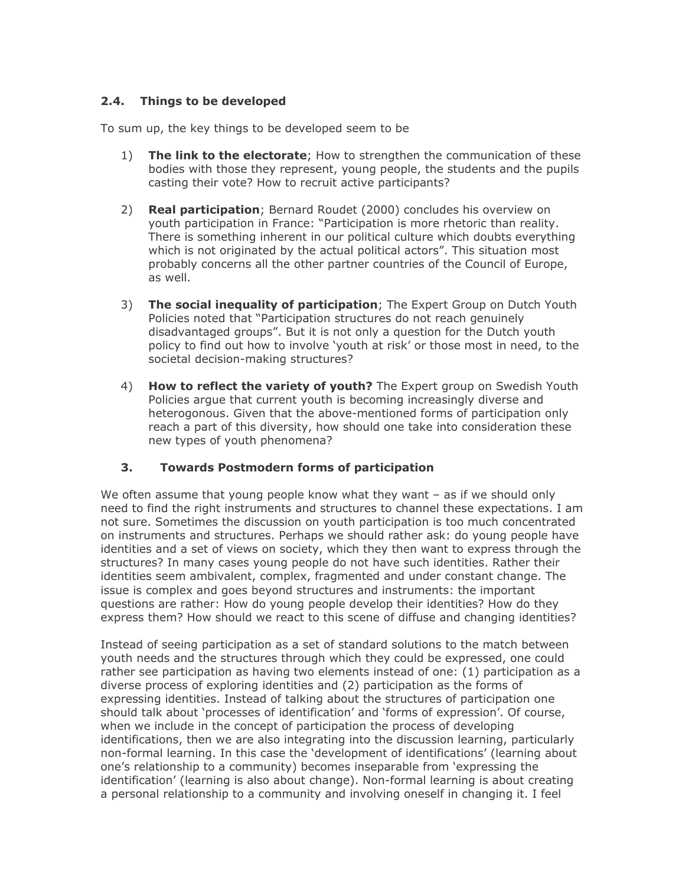# 2.4. Things to be developed

To sum up, the key things to be developed seem to be

- $1)$ The link to the electorate; How to strengthen the communication of these bodies with those they represent, young people, the students and the pupils casting their vote? How to recruit active participants?
- $2)$ **Real participation**; Bernard Roudet (2000) concludes his overview on youth participation in France: "Participation is more rhetoric than reality. There is something inherent in our political culture which doubts everything which is not originated by the actual political actors". This situation most probably concerns all the other partner countries of the Council of Europe, as well.
- 3) The social inequality of participation; The Expert Group on Dutch Youth Policies noted that "Participation structures do not reach genuinely disadvantaged groups". But it is not only a question for the Dutch youth policy to find out how to involve 'youth at risk' or those most in need, to the societal decision-making structures?
- 4) How to reflect the variety of youth? The Expert group on Swedish Youth Policies argue that current youth is becoming increasingly diverse and heterogonous. Given that the above-mentioned forms of participation only reach a part of this diversity, how should one take into consideration these new types of youth phenomena?

#### $3<sub>1</sub>$ **Towards Postmodern forms of participation**

We often assume that young people know what they want  $-$  as if we should only need to find the right instruments and structures to channel these expectations. I am not sure. Sometimes the discussion on youth participation is too much concentrated on instruments and structures. Perhaps we should rather ask: do young people have identities and a set of views on society, which they then want to express through the structures? In many cases young people do not have such identities. Rather their identities seem ambivalent, complex, fragmented and under constant change. The issue is complex and goes beyond structures and instruments: the important questions are rather: How do young people develop their identities? How do they express them? How should we react to this scene of diffuse and changing identities?

Instead of seeing participation as a set of standard solutions to the match between youth needs and the structures through which they could be expressed, one could rather see participation as having two elements instead of one: (1) participation as a diverse process of exploring identities and (2) participation as the forms of expressing identities. Instead of talking about the structures of participation one should talk about 'processes of identification' and 'forms of expression'. Of course, when we include in the concept of participation the process of developing identifications, then we are also integrating into the discussion learning, particularly non-formal learning. In this case the 'development of identifications' (learning about one's relationship to a community) becomes inseparable from 'expressing the identification' (learning is also about change). Non-formal learning is about creating a personal relationship to a community and involving oneself in changing it. I feel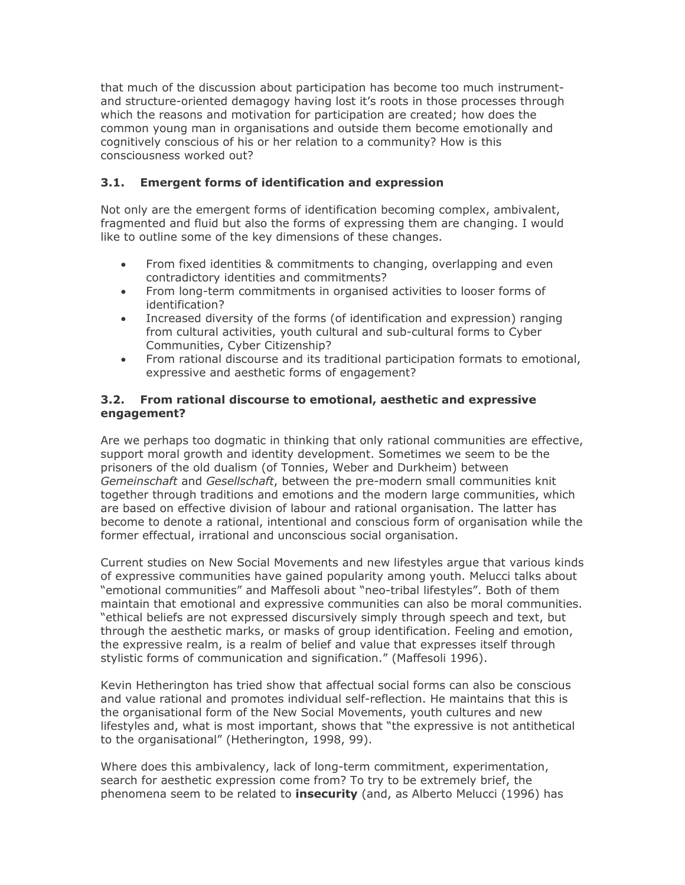that much of the discussion about participation has become too much instrumentand structure-oriented demagogy having lost it's roots in those processes through which the reasons and motivation for participation are created; how does the common young man in organisations and outside them become emotionally and cognitively conscious of his or her relation to a community? How is this consciousness worked out?

### $3.1.$ **Emergent forms of identification and expression**

Not only are the emergent forms of identification becoming complex, ambivalent, fragmented and fluid but also the forms of expressing them are changing. I would like to outline some of the key dimensions of these changes.

- From fixed identities & commitments to changing, overlapping and even  $\bullet$ contradictory identities and commitments?
- From long-term commitments in organised activities to looser forms of  $\bullet$ identification?
- Increased diversity of the forms (of identification and expression) ranging  $\bullet$ from cultural activities, youth cultural and sub-cultural forms to Cyber Communities, Cyber Citizenship?
- From rational discourse and its traditional participation formats to emotional,  $\bullet$ expressive and aesthetic forms of engagement?

### From rational discourse to emotional, aesthetic and expressive  $3.2.$ engagement?

Are we perhaps too dogmatic in thinking that only rational communities are effective, support moral growth and identity development. Sometimes we seem to be the prisoners of the old dualism (of Tonnies, Weber and Durkheim) between Gemeinschaft and Gesellschaft, between the pre-modern small communities knit together through traditions and emotions and the modern large communities, which are based on effective division of labour and rational organisation. The latter has become to denote a rational, intentional and conscious form of organisation while the former effectual, irrational and unconscious social organisation.

Current studies on New Social Movements and new lifestyles argue that various kinds of expressive communities have gained popularity among youth. Melucci talks about "emotional communities" and Maffesoli about "neo-tribal lifestyles". Both of them maintain that emotional and expressive communities can also be moral communities. "ethical beliefs are not expressed discursively simply through speech and text, but through the aesthetic marks, or masks of group identification. Feeling and emotion, the expressive realm, is a realm of belief and value that expresses itself through stylistic forms of communication and signification." (Maffesoli 1996).

Kevin Hetherington has tried show that affectual social forms can also be conscious and value rational and promotes individual self-reflection. He maintains that this is the organisational form of the New Social Movements, youth cultures and new lifestyles and, what is most important, shows that "the expressive is not antithetical to the organisational" (Hetherington, 1998, 99).

Where does this ambivalency, lack of long-term commitment, experimentation, search for aesthetic expression come from? To try to be extremely brief, the phenomena seem to be related to *insecurity* (and, as Alberto Melucci (1996) has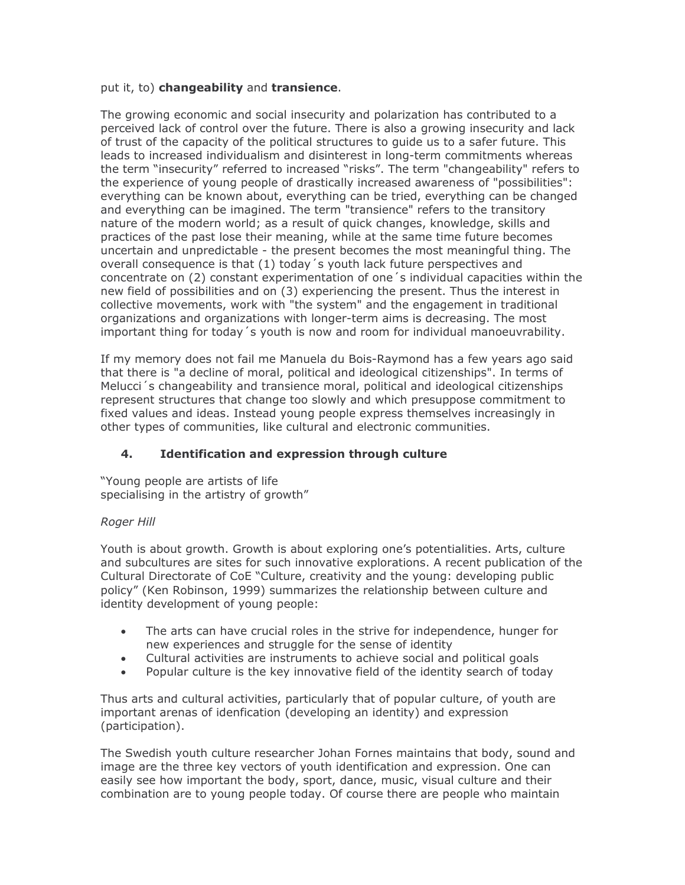### put it, to) changeability and transience.

The growing economic and social insecurity and polarization has contributed to a perceived lack of control over the future. There is also a growing insecurity and lack of trust of the capacity of the political structures to quide us to a safer future. This leads to increased individualism and disinterest in long-term commitments whereas the term "insecurity" referred to increased "risks". The term "changeability" refers to the experience of young people of drastically increased awareness of "possibilities": everything can be known about, everything can be tried, everything can be changed and everything can be imagined. The term "transience" refers to the transitory nature of the modern world; as a result of guick changes, knowledge, skills and practices of the past lose their meaning, while at the same time future becomes uncertain and unpredictable - the present becomes the most meaningful thing. The overall consequence is that (1) today 's youth lack future perspectives and concentrate on (2) constant experimentation of one 's individual capacities within the new field of possibilities and on (3) experiencing the present. Thus the interest in collective movements, work with "the system" and the engagement in traditional organizations and organizations with longer-term aims is decreasing. The most important thing for today's youth is now and room for individual manoeuvrability.

If my memory does not fail me Manuela du Bois-Raymond has a few years ago said that there is "a decline of moral, political and ideological citizenships". In terms of Melucci's changeability and transience moral, political and ideological citizenships represent structures that change too slowly and which presuppose commitment to fixed values and ideas. Instead young people express themselves increasingly in other types of communities, like cultural and electronic communities.

### $4.$ **Identification and expression through culture**

"Young people are artists of life specialising in the artistry of growth"

### Roger Hill

Youth is about growth. Growth is about exploring one's potentialities. Arts, culture and subcultures are sites for such innovative explorations. A recent publication of the Cultural Directorate of CoE "Culture, creativity and the young: developing public policy" (Ken Robinson, 1999) summarizes the relationship between culture and identity development of young people:

- The arts can have crucial roles in the strive for independence, hunger for  $\bullet$ new experiences and struggle for the sense of identity
- Cultural activities are instruments to achieve social and political goals  $\bullet$
- Popular culture is the key innovative field of the identity search of today  $\bullet$

Thus arts and cultural activities, particularly that of popular culture, of youth are important arenas of idenfication (developing an identity) and expression (participation).

The Swedish youth culture researcher Johan Fornes maintains that body, sound and image are the three key vectors of youth identification and expression. One can easily see how important the body, sport, dance, music, visual culture and their combination are to young people today. Of course there are people who maintain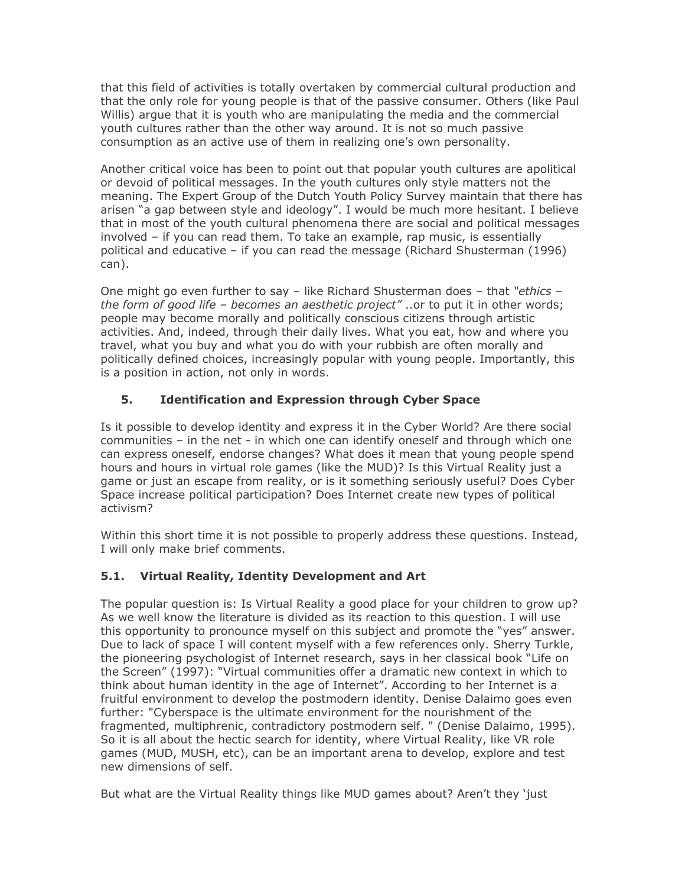that this field of activities is totally overtaken by commercial cultural production and that the only role for young people is that of the passive consumer. Others (like Paul Willis) arque that it is youth who are manipulating the media and the commercial youth cultures rather than the other way around. It is not so much passive consumption as an active use of them in realizing one's own personality.

Another critical voice has been to point out that popular youth cultures are apolitical or devoid of political messages. In the youth cultures only style matters not the meaning. The Expert Group of the Dutch Youth Policy Survey maintain that there has arisen "a gap between style and ideology". I would be much more hesitant. I believe that in most of the youth cultural phenomena there are social and political messages involved - if you can read them. To take an example, rap music, is essentially political and educative - if you can read the message (Richard Shusterman (1996)  $can).$ 

One might go even further to say - like Richard Shusterman does - that "ethics the form of good life - becomes an aesthetic project"... or to put it in other words; people may become morally and politically conscious citizens through artistic activities. And, indeed, through their daily lives. What you eat, how and where you travel, what you buy and what you do with your rubbish are often morally and politically defined choices, increasingly popular with young people. Importantly, this is a position in action, not only in words.

### 5. **Identification and Expression through Cyber Space**

Is it possible to develop identity and express it in the Cyber World? Are there social communities – in the net - in which one can identify oneself and through which one can express oneself, endorse changes? What does it mean that young people spend hours and hours in virtual role games (like the MUD)? Is this Virtual Reality just a game or just an escape from reality, or is it something seriously useful? Does Cyber Space increase political participation? Does Internet create new types of political activism?

Within this short time it is not possible to properly address these questions. Instead, I will only make brief comments.

### $5.1.$ Virtual Reality, Identity Development and Art

The popular question is: Is Virtual Reality a good place for your children to grow up? As we well know the literature is divided as its reaction to this question. I will use this opportunity to pronounce myself on this subject and promote the "yes" answer. Due to lack of space I will content myself with a few references only. Sherry Turkle, the pioneering psychologist of Internet research, says in her classical book "Life on the Screen" (1997): "Virtual communities offer a dramatic new context in which to think about human identity in the age of Internet". According to her Internet is a fruitful environment to develop the postmodern identity. Denise Dalaimo goes even further: "Cyberspace is the ultimate environment for the nourishment of the fragmented, multiphrenic, contradictory postmodern self. " (Denise Dalaimo, 1995). So it is all about the hectic search for identity, where Virtual Reality, like VR role games (MUD, MUSH, etc), can be an important arena to develop, explore and test new dimensions of self.

But what are the Virtual Reality things like MUD games about? Aren't they 'just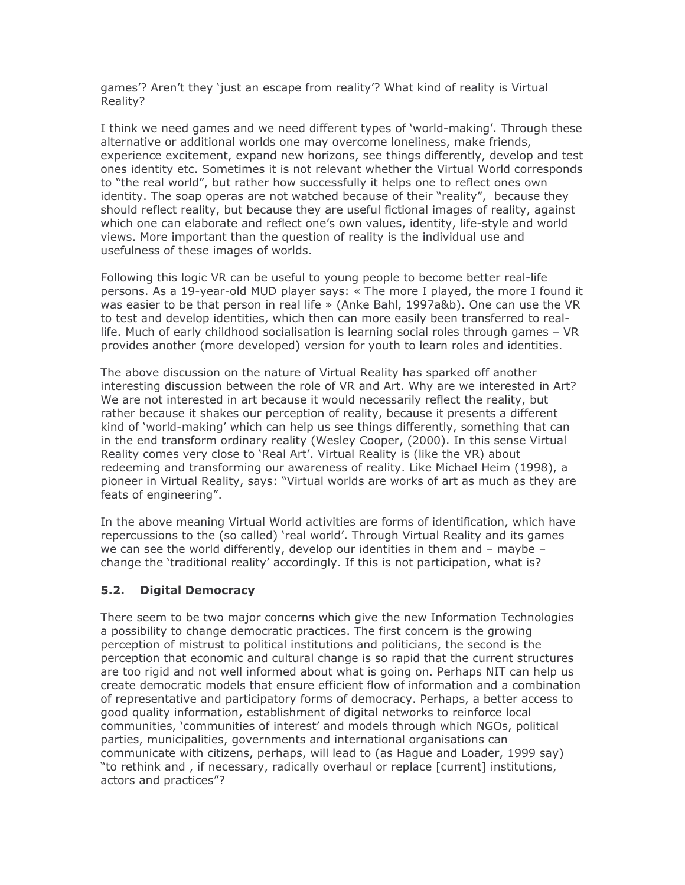games'? Aren't they 'just an escape from reality'? What kind of reality is Virtual Reality?

I think we need games and we need different types of 'world-making'. Through these alternative or additional worlds one may overcome loneliness, make friends, experience excitement, expand new horizons, see things differently, develop and test ones identity etc. Sometimes it is not relevant whether the Virtual World corresponds to "the real world", but rather how successfully it helps one to reflect ones own identity. The soap operas are not watched because of their "reality", because they should reflect reality, but because they are useful fictional images of reality, against which one can elaborate and reflect one's own values, identity, life-style and world views. More important than the question of reality is the individual use and usefulness of these images of worlds.

Following this logic VR can be useful to young people to become better real-life persons. As a 19-year-old MUD player says: « The more I played, the more I found it was easier to be that person in real life » (Anke Bahl, 1997a&b). One can use the VR to test and develop identities, which then can more easily been transferred to reallife. Much of early childhood socialisation is learning social roles through games - VR provides another (more developed) version for youth to learn roles and identities.

The above discussion on the nature of Virtual Reality has sparked off another interesting discussion between the role of VR and Art. Why are we interested in Art? We are not interested in art because it would necessarily reflect the reality, but rather because it shakes our perception of reality, because it presents a different kind of 'world-making' which can help us see things differently, something that can in the end transform ordinary reality (Wesley Cooper, (2000). In this sense Virtual Reality comes very close to 'Real Art'. Virtual Reality is (like the VR) about redeeming and transforming our awareness of reality. Like Michael Heim (1998), a pioneer in Virtual Reality, says: "Virtual worlds are works of art as much as they are feats of engineering".

In the above meaning Virtual World activities are forms of identification, which have repercussions to the (so called) 'real world'. Through Virtual Reality and its games we can see the world differently, develop our identities in them and  $-$  maybe  $$ change the 'traditional reality' accordingly. If this is not participation, what is?

#### $5.2.$ **Digital Democracy**

There seem to be two major concerns which give the new Information Technologies a possibility to change democratic practices. The first concern is the growing perception of mistrust to political institutions and politicians, the second is the perception that economic and cultural change is so rapid that the current structures are too rigid and not well informed about what is going on. Perhaps NIT can help us create democratic models that ensure efficient flow of information and a combination of representative and participatory forms of democracy. Perhaps, a better access to good quality information, establishment of digital networks to reinforce local communities, 'communities of interest' and models through which NGOs, political parties, municipalities, governments and international organisations can communicate with citizens, perhaps, will lead to (as Hague and Loader, 1999 say) "to rethink and, if necessary, radically overhaul or replace [current] institutions, actors and practices"?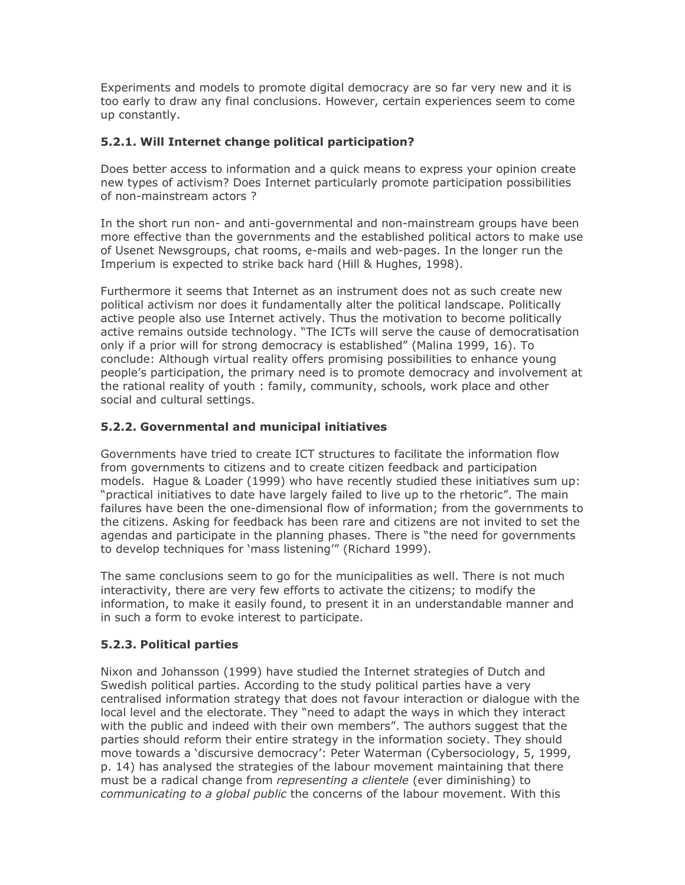Experiments and models to promote digital democracy are so far very new and it is too early to draw any final conclusions. However, certain experiences seem to come up constantly.

# 5.2.1. Will Internet change political participation?

Does better access to information and a quick means to express your opinion create new types of activism? Does Internet particularly promote participation possibilities of non-mainstream actors?

In the short run non- and anti-governmental and non-mainstream groups have been more effective than the governments and the established political actors to make use of Usenet Newsgroups, chat rooms, e-mails and web-pages. In the longer run the Imperium is expected to strike back hard (Hill & Hughes, 1998).

Furthermore it seems that Internet as an instrument does not as such create new political activism nor does it fundamentally alter the political landscape. Politically active people also use Internet actively. Thus the motivation to become politically active remains outside technology. "The ICTs will serve the cause of democratisation only if a prior will for strong democracy is established" (Malina 1999, 16). To conclude: Although virtual reality offers promising possibilities to enhance young people's participation, the primary need is to promote democracy and involvement at the rational reality of youth: family, community, schools, work place and other social and cultural settings.

# 5.2.2. Governmental and municipal initiatives

Governments have tried to create ICT structures to facilitate the information flow from governments to citizens and to create citizen feedback and participation models. Hague & Loader (1999) who have recently studied these initiatives sum up: "practical initiatives to date have largely failed to live up to the rhetoric". The main failures have been the one-dimensional flow of information; from the governments to the citizens. Asking for feedback has been rare and citizens are not invited to set the agendas and participate in the planning phases. There is "the need for governments to develop techniques for 'mass listening'" (Richard 1999).

The same conclusions seem to go for the municipalities as well. There is not much interactivity, there are very few efforts to activate the citizens; to modify the information, to make it easily found, to present it in an understandable manner and in such a form to evoke interest to participate.

# 5.2.3. Political parties

Nixon and Johansson (1999) have studied the Internet strategies of Dutch and Swedish political parties. According to the study political parties have a very centralised information strategy that does not favour interaction or dialogue with the local level and the electorate. They "need to adapt the ways in which they interact with the public and indeed with their own members". The authors suggest that the parties should reform their entire strategy in the information society. They should move towards a 'discursive democracy': Peter Waterman (Cybersociology, 5, 1999, p. 14) has analysed the strategies of the labour movement maintaining that there must be a radical change from *representing a clientele* (ever diminishing) to communicating to a global public the concerns of the labour movement. With this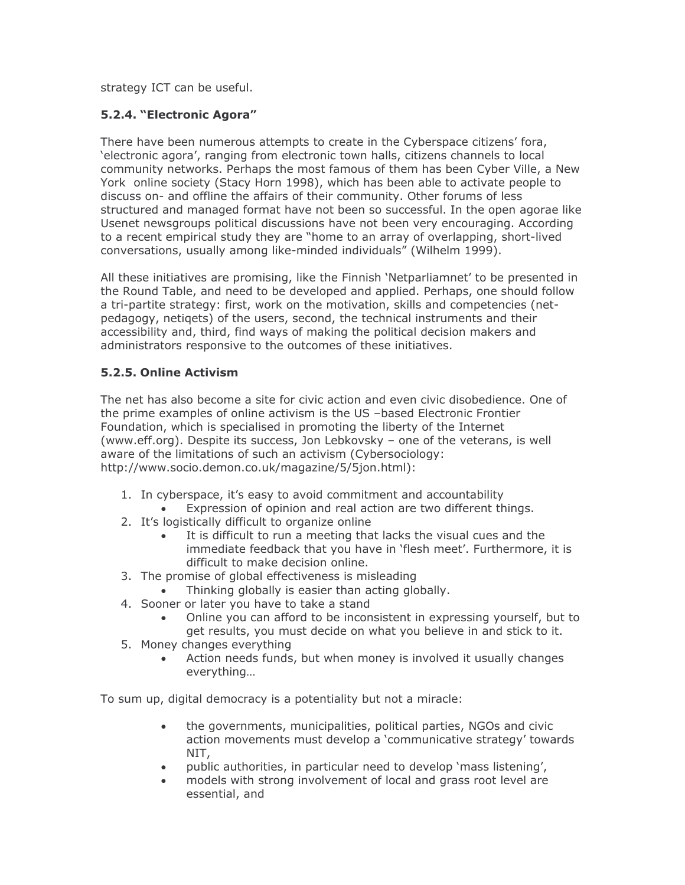strategy ICT can be useful.

# 5.2.4. "Electronic Agora"

There have been numerous attempts to create in the Cyberspace citizens' fora, 'electronic agora', ranging from electronic town halls, citizens channels to local community networks. Perhaps the most famous of them has been Cyber Ville, a New York online society (Stacy Horn 1998), which has been able to activate people to discuss on- and offline the affairs of their community. Other forums of less structured and managed format have not been so successful. In the open agorae like Usenet newsgroups political discussions have not been very encouraging. According to a recent empirical study they are "home to an array of overlapping, short-lived conversations, usually among like-minded individuals" (Wilhelm 1999).

All these initiatives are promising, like the Finnish 'Netparliamnet' to be presented in the Round Table, and need to be developed and applied. Perhaps, one should follow a tri-partite strategy: first, work on the motivation, skills and competencies (netpedagogy, netigets) of the users, second, the technical instruments and their accessibility and, third, find ways of making the political decision makers and administrators responsive to the outcomes of these initiatives.

# 5.2.5. Online Activism

The net has also become a site for civic action and even civic disobedience. One of the prime examples of online activism is the US -based Electronic Frontier Foundation, which is specialised in promoting the liberty of the Internet (www.eff.org). Despite its success, Jon Lebkovsky - one of the veterans, is well aware of the limitations of such an activism (Cybersociology: http://www.socio.demon.co.uk/magazine/5/5jon.html):

- 1. In cyberspace, it's easy to avoid commitment and accountability
	- Expression of opinion and real action are two different things.
- 2. It's logistically difficult to organize online
	- It is difficult to run a meeting that lacks the visual cues and the immediate feedback that you have in 'flesh meet'. Furthermore, it is difficult to make decision online.
- 3. The promise of global effectiveness is misleading
	- Thinking globally is easier than acting globally.
- 4. Sooner or later you have to take a stand
	- Online you can afford to be inconsistent in expressing yourself, but to get results, you must decide on what you believe in and stick to it.
- 5. Money changes everything
	- Action needs funds, but when money is involved it usually changes everything...

To sum up, digital democracy is a potentiality but not a miracle:

- the governments, municipalities, political parties, NGOs and civic  $\bullet$ action movements must develop a 'communicative strategy' towards NIT.
- public authorities, in particular need to develop 'mass listening',
- models with strong involvement of local and grass root level are essential, and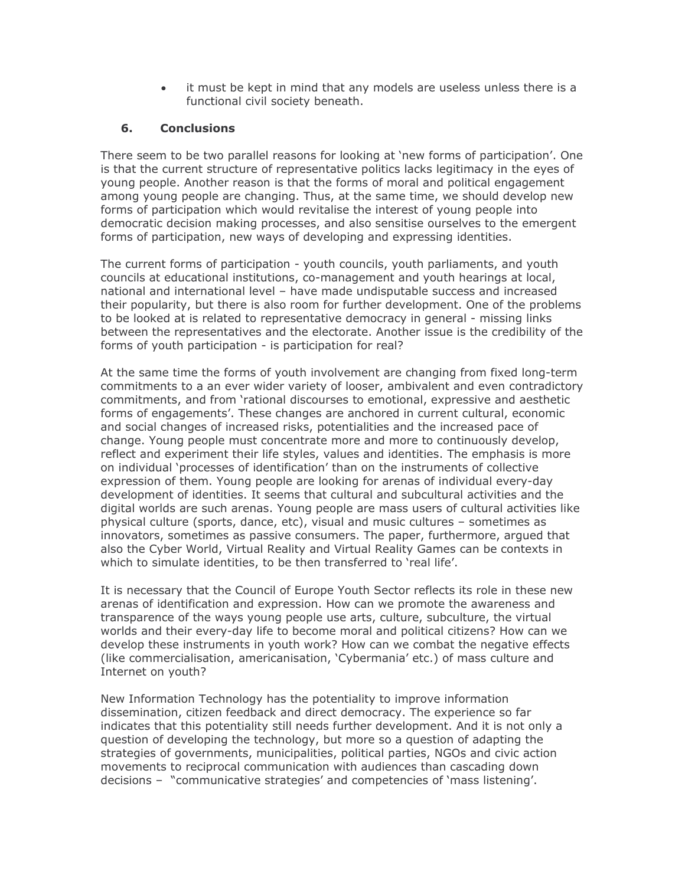it must be kept in mind that any models are useless unless there is a functional civil society beneath.

#### 6. **Conclusions**

There seem to be two parallel reasons for looking at 'new forms of participation'. One is that the current structure of representative politics lacks legitimacy in the eyes of young people. Another reason is that the forms of moral and political engagement among young people are changing. Thus, at the same time, we should develop new forms of participation which would revitalise the interest of young people into democratic decision making processes, and also sensitise ourselves to the emergent forms of participation, new ways of developing and expressing identities.

The current forms of participation - youth councils, youth parliaments, and youth councils at educational institutions, co-management and youth hearings at local, national and international level - have made undisputable success and increased their popularity, but there is also room for further development. One of the problems to be looked at is related to representative democracy in general - missing links between the representatives and the electorate. Another issue is the credibility of the forms of youth participation - is participation for real?

At the same time the forms of youth involvement are changing from fixed long-term commitments to a an ever wider variety of looser, ambivalent and even contradictory commitments, and from 'rational discourses to emotional, expressive and aesthetic forms of engagements'. These changes are anchored in current cultural, economic and social changes of increased risks, potentialities and the increased pace of change. Young people must concentrate more and more to continuously develop, reflect and experiment their life styles, values and identities. The emphasis is more on individual 'processes of identification' than on the instruments of collective expression of them. Young people are looking for arenas of individual every-day development of identities. It seems that cultural and subcultural activities and the digital worlds are such arenas. Young people are mass users of cultural activities like physical culture (sports, dance, etc), visual and music cultures - sometimes as innovators, sometimes as passive consumers. The paper, furthermore, argued that also the Cyber World, Virtual Reality and Virtual Reality Games can be contexts in which to simulate identities, to be then transferred to 'real life'.

It is necessary that the Council of Europe Youth Sector reflects its role in these new arenas of identification and expression. How can we promote the awareness and transparence of the ways young people use arts, culture, subculture, the virtual worlds and their every-day life to become moral and political citizens? How can we develop these instruments in youth work? How can we combat the negative effects (like commercialisation, americanisation, 'Cybermania' etc.) of mass culture and Internet on youth?

New Information Technology has the potentiality to improve information dissemination, citizen feedback and direct democracy. The experience so far indicates that this potentiality still needs further development. And it is not only a question of developing the technology, but more so a question of adapting the strategies of governments, municipalities, political parties, NGOs and civic action movements to reciprocal communication with audiences than cascading down decisions - "communicative strategies' and competencies of 'mass listening'.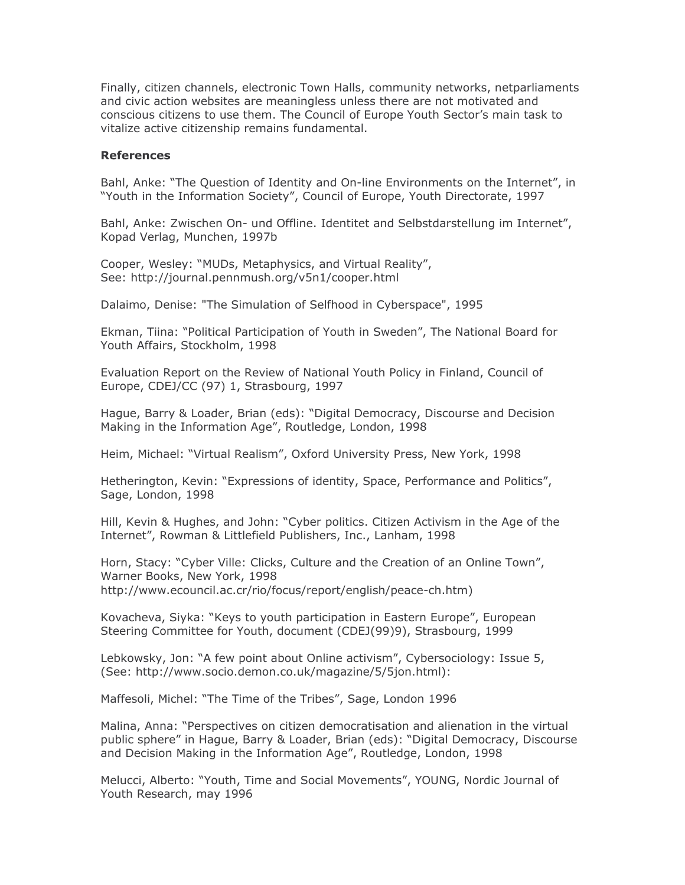Finally, citizen channels, electronic Town Halls, community networks, netparliaments and civic action websites are meaningless unless there are not motivated and conscious citizens to use them. The Council of Europe Youth Sector's main task to vitalize active citizenship remains fundamental.

### **References**

Bahl, Anke: "The Question of Identity and On-line Environments on the Internet", in "Youth in the Information Society", Council of Europe, Youth Directorate, 1997

Bahl, Anke: Zwischen On- und Offline. Identitet and Selbstdarstellung im Internet", Kopad Verlag, Munchen, 1997b

Cooper, Wesley: "MUDs, Metaphysics, and Virtual Reality", See: http://journal.pennmush.org/v5n1/cooper.html

Dalaimo, Denise: "The Simulation of Selfhood in Cyberspace", 1995

Ekman, Tiina: "Political Participation of Youth in Sweden", The National Board for Youth Affairs, Stockholm, 1998

Evaluation Report on the Review of National Youth Policy in Finland, Council of Europe, CDEJ/CC (97) 1, Strasbourg, 1997

Hague, Barry & Loader, Brian (eds): "Digital Democracy, Discourse and Decision Making in the Information Age", Routledge, London, 1998

Heim, Michael: "Virtual Realism", Oxford University Press, New York, 1998

Hetherington, Kevin: "Expressions of identity, Space, Performance and Politics", Sage, London, 1998

Hill, Kevin & Hughes, and John: "Cyber politics. Citizen Activism in the Age of the Internet", Rowman & Littlefield Publishers, Inc., Lanham, 1998

Horn, Stacy: "Cyber Ville: Clicks, Culture and the Creation of an Online Town", Warner Books, New York, 1998 http://www.ecouncil.ac.cr/rio/focus/report/english/peace-ch.htm)

Kovacheva, Siyka: "Keys to youth participation in Eastern Europe", European Steering Committee for Youth, document (CDEJ(99)9), Strasbourg, 1999

Lebkowsky, Jon: "A few point about Online activism", Cybersociology: Issue 5, (See: http://www.socio.demon.co.uk/magazine/5/5jon.html):

Maffesoli, Michel: "The Time of the Tribes", Sage, London 1996

Malina, Anna: "Perspectives on citizen democratisation and alienation in the virtual public sphere" in Haque, Barry & Loader, Brian (eds): "Digital Democracy, Discourse and Decision Making in the Information Age", Routledge, London, 1998

Melucci, Alberto: "Youth, Time and Social Movements", YOUNG, Nordic Journal of Youth Research, may 1996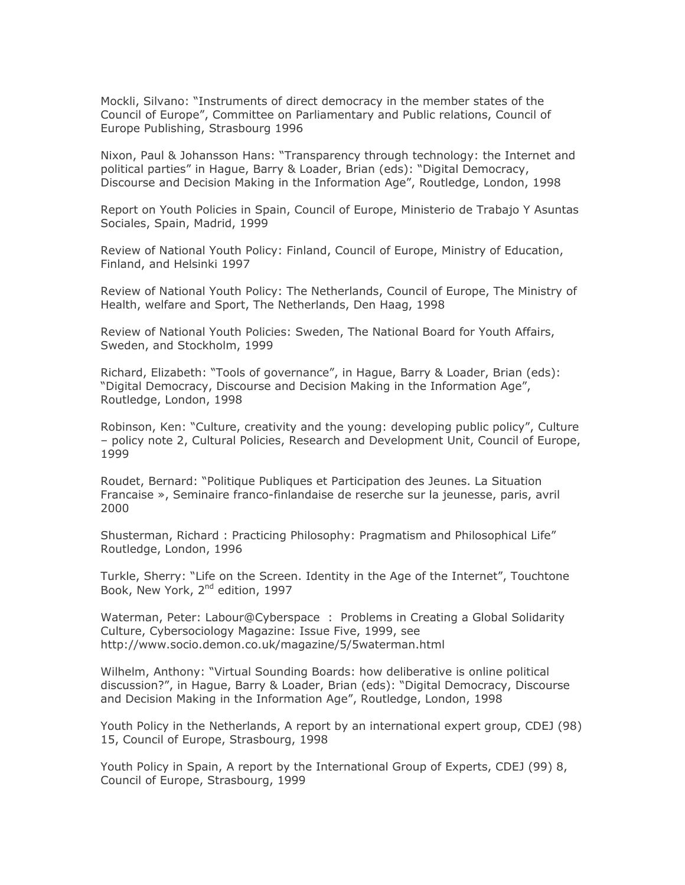Mockli, Silvano: "Instruments of direct democracy in the member states of the Council of Europe", Committee on Parliamentary and Public relations, Council of Europe Publishing, Strasbourg 1996

Nixon, Paul & Johansson Hans: "Transparency through technology: the Internet and political parties" in Hague, Barry & Loader, Brian (eds): "Digital Democracy, Discourse and Decision Making in the Information Age", Routledge, London, 1998

Report on Youth Policies in Spain, Council of Europe, Ministerio de Trabajo Y Asuntas Sociales, Spain, Madrid, 1999

Review of National Youth Policy: Finland, Council of Europe, Ministry of Education, Finland, and Helsinki 1997

Review of National Youth Policy: The Netherlands, Council of Europe, The Ministry of Health, welfare and Sport, The Netherlands, Den Haag, 1998

Review of National Youth Policies: Sweden, The National Board for Youth Affairs, Sweden, and Stockholm, 1999

Richard, Elizabeth: "Tools of governance", in Hague, Barry & Loader, Brian (eds): "Digital Democracy, Discourse and Decision Making in the Information Age", Routledge, London, 1998

Robinson, Ken: "Culture, creativity and the young: developing public policy", Culture - policy note 2, Cultural Policies, Research and Development Unit, Council of Europe, 1999

Roudet, Bernard: "Politique Publiques et Participation des Jeunes. La Situation Francaise », Seminaire franco-finlandaise de reserche sur la jeunesse, paris, avril 2000

Shusterman, Richard: Practicing Philosophy: Pragmatism and Philosophical Life" Routledge, London, 1996

Turkle, Sherry: "Life on the Screen. Identity in the Age of the Internet", Touchtone Book, New York, 2<sup>nd</sup> edition, 1997

Waterman, Peter: Labour@Cyberspace : Problems in Creating a Global Solidarity Culture, Cybersociology Magazine: Issue Five, 1999, see http://www.socio.demon.co.uk/magazine/5/5waterman.html

Wilhelm, Anthony: "Virtual Sounding Boards: how deliberative is online political discussion?", in Hague, Barry & Loader, Brian (eds): "Digital Democracy, Discourse and Decision Making in the Information Age", Routledge, London, 1998

Youth Policy in the Netherlands, A report by an international expert group, CDEJ (98) 15, Council of Europe, Strasbourg, 1998

Youth Policy in Spain, A report by the International Group of Experts, CDEJ (99) 8, Council of Europe, Strasbourg, 1999